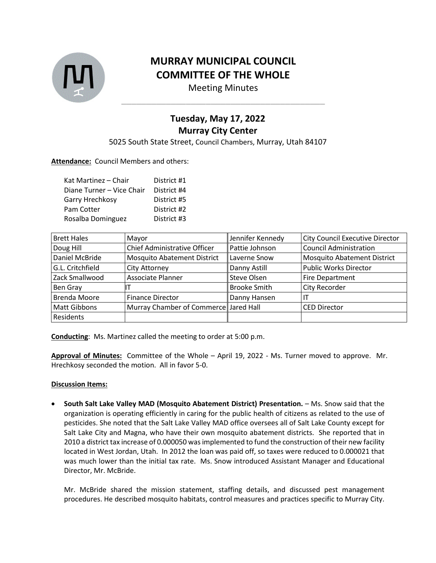

## **MURRAY MUNICIPAL COUNCIL COMMITTEE OF THE WHOLE**

Meeting Minutes **\_\_\_\_\_\_\_\_\_\_\_\_\_\_\_\_\_\_\_\_\_\_\_\_\_\_\_\_\_\_\_\_\_\_\_\_\_\_\_\_\_**

## **Tuesday, May 17, 2022 Murray City Center**

5025 South State Street, Council Chambers, Murray, Utah 84107

## **Attendance:** Council Members and others:

| Kat Martinez - Chair      | District #1 |
|---------------------------|-------------|
| Diane Turner - Vice Chair | District #4 |
| Garry Hrechkosy           | District #5 |
| Pam Cotter                | District #2 |
| Rosalba Dominguez         | District #3 |

| <b>Brett Hales</b>  | Mayor                                 | Jennifer Kennedy    | <b>City Council Executive Director</b> |
|---------------------|---------------------------------------|---------------------|----------------------------------------|
| Doug Hill           | Chief Administrative Officer          | Pattie Johnson      | <b>Council Administration</b>          |
| Daniel McBride      | <b>Mosquito Abatement District</b>    | Laverne Snow        | <b>Mosquito Abatement District</b>     |
| G.L. Critchfield    | City Attorney                         | Danny Astill        | <b>Public Works Director</b>           |
| Zack Smallwood      | Associate Planner                     | Steve Olsen         | Fire Department                        |
| Ben Gray            |                                       | <b>Brooke Smith</b> | City Recorder                          |
| <b>Brenda Moore</b> | <b>Finance Director</b>               | Danny Hansen        |                                        |
| <b>Matt Gibbons</b> | Murray Chamber of Commerce Jared Hall |                     | <b>CED Director</b>                    |
| Residents           |                                       |                     |                                        |

**Conducting**: Ms. Martinez called the meeting to order at 5:00 p.m.

**Approval of Minutes:** Committee of the Whole – April 19, 2022 - Ms. Turner moved to approve. Mr. Hrechkosy seconded the motion. All in favor 5-0.

## **Discussion Items:**

• **South Salt Lake Valley MAD (Mosquito Abatement District) Presentation.** – Ms. Snow said that the organization is operating efficiently in caring for the public health of citizens as related to the use of pesticides. She noted that the Salt Lake Valley MAD office oversees all of Salt Lake County except for Salt Lake City and Magna, who have their own mosquito abatement districts. She reported that in 2010 a district tax increase of 0.000050 was implemented to fund the construction of their new facility located in West Jordan, Utah. In 2012 the loan was paid off, so taxes were reduced to 0.000021 that was much lower than the initial tax rate. Ms. Snow introduced Assistant Manager and Educational Director, Mr. McBride.

Mr. McBride shared the mission statement, staffing details, and discussed pest management procedures. He described mosquito habitats, control measures and practices specific to Murray City.